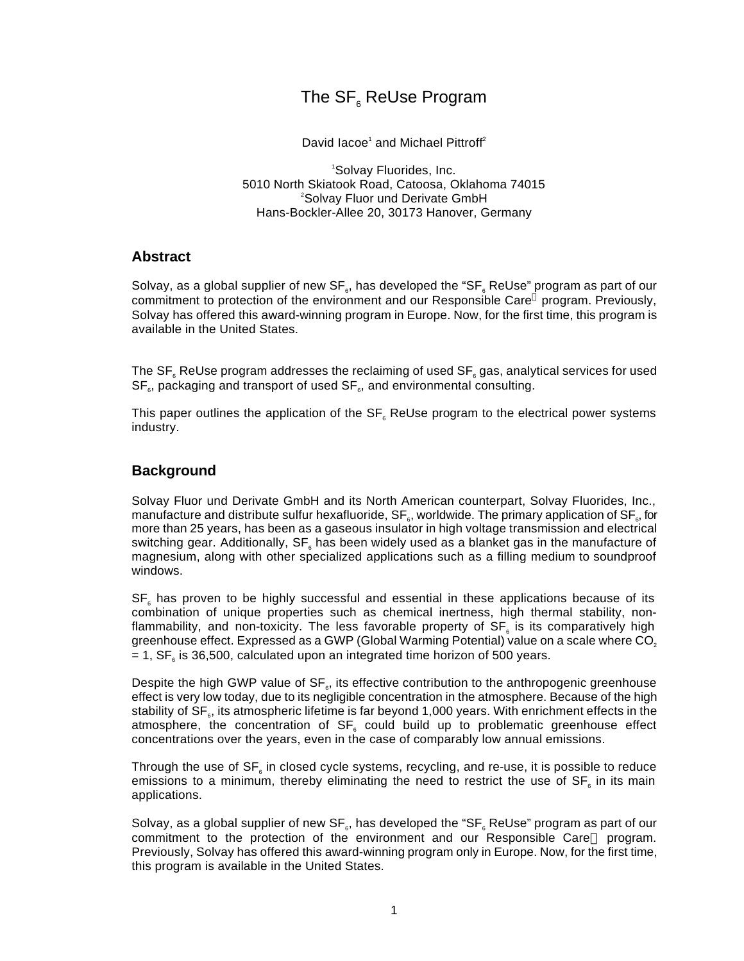# The  $\textsf{SF}_\mathrm{s}$  ReUse Program

David lacoe<sup>1</sup> and Michael Pittroff<sup>2</sup>

<sup>1</sup>Solvay Fluorides, Inc. 5010 North Skiatook Road, Catoosa, Oklahoma 74015 <sup>2</sup>Solvay Fluor und Derivate GmbH Hans-Bockler-Allee 20, 30173 Hanover, Germany

### **Abstract**

Solvay, as a global supplier of new SF $_{\circ}$ , has developed the "SF $_{\circ}$  ReUse" program as part of our commitment to protection of the environment and our Responsible Care<sup>®</sup> program. Previously, Solvay has offered this award-winning program in Europe. Now, for the first time, this program is available in the United States.

The SF $_{\circ}$  ReUse program addresses the reclaiming of used SF $_{\circ}$  gas, analytical services for used  $\mathsf{SF}_\mathsf{s}$ , packaging and transport of used  $\mathsf{SF}_\mathsf{s}$ , and environmental consulting.

This paper outlines the application of the SF $_{\scriptscriptstyle{6}}$  ReUse program to the electrical power systems industry.

### **Background**

Solvay Fluor und Derivate GmbH and its North American counterpart, Solvay Fluorides, Inc., manufacture and distribute sulfur hexafluoride, SF $_{\textrm{\tiny{s}}}$ , worldwide. The primary application of SF $_{\textrm{\tiny{s}}}$ , for more than 25 years, has been as a gaseous insulator in high voltage transmission and electrical switching gear. Additionally, SF $_{\rm s}$  has been widely used as a blanket gas in the manufacture of magnesium, along with other specialized applications such as a filling medium to soundproof windows.

 $SF_{\epsilon}$  has proven to be highly successful and essential in these applications because of its combination of unique properties such as chemical inertness, high thermal stability, nonflammability, and non-toxicity. The less favorable property of SF<sub>6</sub> is its comparatively high greenhouse effect. Expressed as a GWP (Global Warming Potential) value on a scale where CO<sub>2</sub> = 1, SF $_{\scriptscriptstyle{6}}$  is 36,500, calculated upon an integrated time horizon of 500 years.

Despite the high GWP value of  $SF_{s}$ , its effective contribution to the anthropogenic greenhouse effect is very low today, due to its negligible concentration in the atmosphere. Because of the high stability of SF $_{\circ}$ , its atmospheric lifetime is far beyond 1,000 years. With enrichment effects in the atmosphere, the concentration of SF<sub>6</sub> could build up to problematic greenhouse effect concentrations over the years, even in the case of comparably low annual emissions.

Through the use of SF $_{\scriptscriptstyle{6}}$  in closed cycle systems, recycling, and re-use, it is possible to reduce emissions to a minimum, thereby eliminating the need to restrict the use of  $SF_{\scriptscriptstyle{6}}$  in its main applications.

Solvay, as a global supplier of new SF $_{\circ}$ , has developed the "SF $_{\circ}$  ReUse" program as part of our commitment to the protection of the environment and our Responsible Care® program. Previously, Solvay has offered this award-winning program only in Europe. Now, for the first time, this program is available in the United States.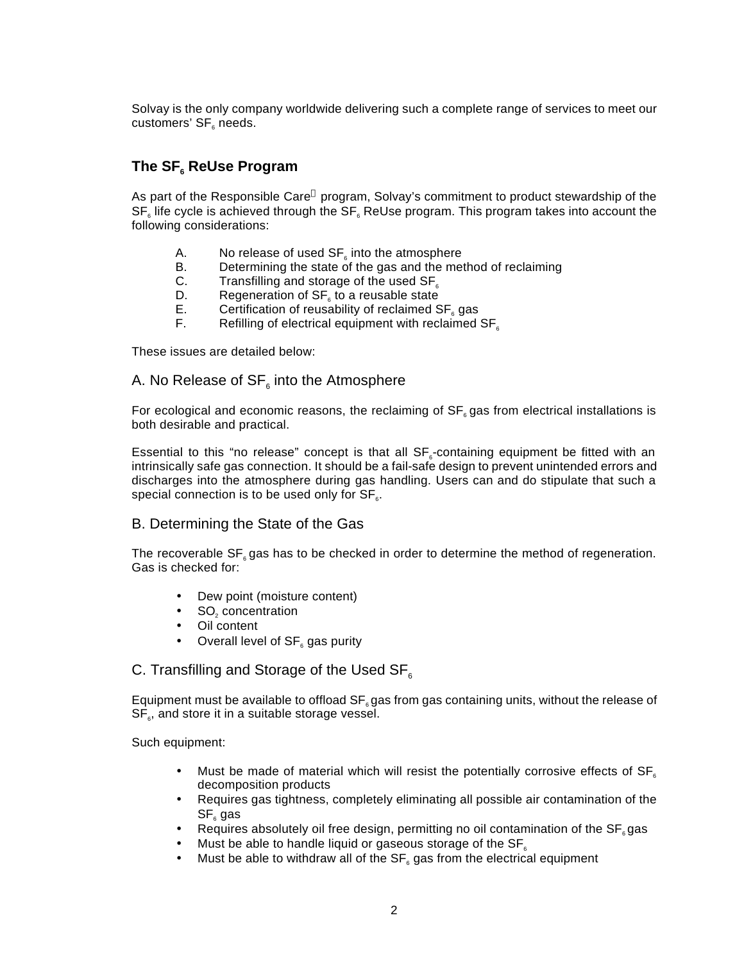Solvay is the only company worldwide delivering such a complete range of services to meet our customers' SF $_{\scriptscriptstyle{6}}$  needs.

# **The SF<sup>6</sup> ReUse Program**

As part of the Responsible Care® program, Solvay's commitment to product stewardship of the  $\textsf{SF}_\varepsilon$  life cycle is achieved through the  $\textsf{SF}_\varepsilon$  ReUse program. This program takes into account the following considerations:

- A.  $\qquad$  No release of used SF $_{\scriptscriptstyle{6}}$  into the atmosphere
- B. Determining the state of the gas and the method of reclaiming<br>C. Transfilling and storage of the used SF.
- C. Transfilling and storage of the used  $SF<sub>6</sub>$ <br>D. Regeneration of SF, to a reusable state
- D. Begeneration of  $SF_{\scriptscriptstyle{6}}$  to a reusable state
- $E.$  Certification of reusability of reclaimed  $SF_{s}$  gas
- F. Refilling of electrical equipment with reclaimed  $SF<sub>6</sub>$

These issues are detailed below:

## A. No Release of SF $_{\scriptscriptstyle{6}}$  into the Atmosphere

For ecological and economic reasons, the reclaiming of  $SF<sub>6</sub>$  gas from electrical installations is both desirable and practical.

Essential to this "no release" concept is that all  $SF_{\epsilon}$ -containing equipment be fitted with an intrinsically safe gas connection. It should be a fail-safe design to prevent unintended errors and discharges into the atmosphere during gas handling. Users can and do stipulate that such a special connection is to be used only for SF $_{\scriptscriptstyle{6}}.$ 

### B. Determining the State of the Gas

The recoverable  $SF<sub>s</sub>$  gas has to be checked in order to determine the method of regeneration. Gas is checked for:

- Dew point (moisture content)
- $SO<sub>2</sub>$  concentration
- Oil content
- Overall level of SF<sub>6</sub> gas purity

## C. Transfilling and Storage of the Used  $SF<sub>6</sub>$

Equipment must be available to offload  $SF_{6}$  gas from gas containing units, without the release of  $\textsf{SF}_\textsf{\tiny s},$  and store it in a suitable storage vessel.

Such equipment:

- Must be made of material which will resist the potentially corrosive effects of  $SF<sub>6</sub>$ decomposition products
- Requires gas tightness, completely eliminating all possible air contamination of the  $\textsf{SF}_{\scriptscriptstyle{6}}$  gas
- Requires absolutely oil free design, permitting no oil contamination of the  $SF<sub>s</sub>$  gas
- Must be able to handle liquid or gaseous storage of the  $SF<sub>6</sub>$
- Must be able to withdraw all of the  $SF_{\epsilon}$  gas from the electrical equipment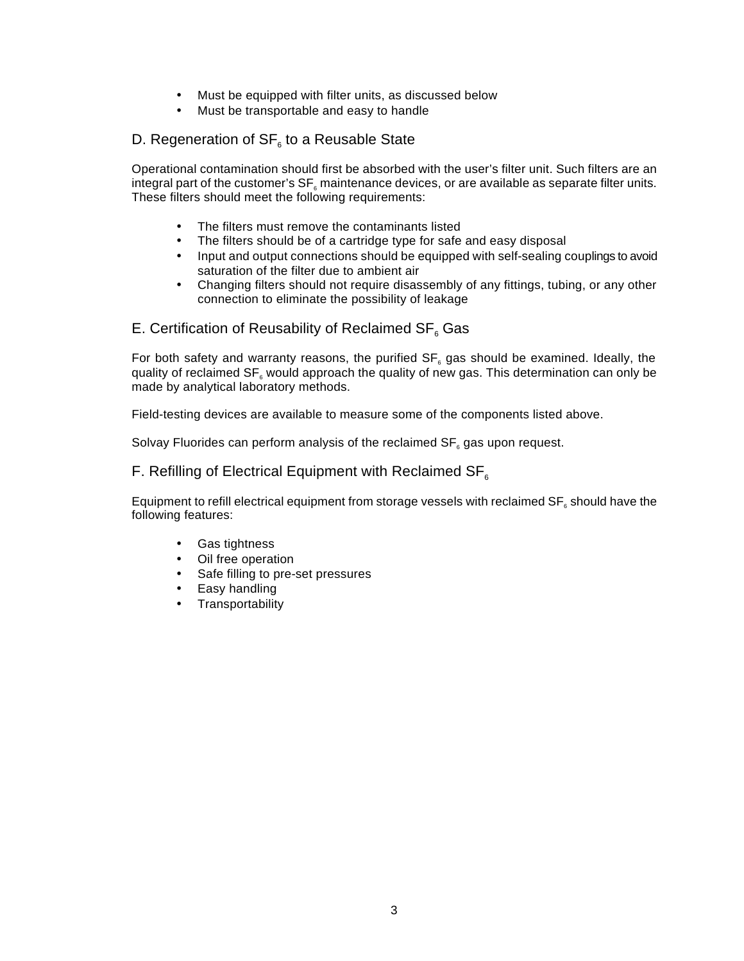- Must be equipped with filter units, as discussed below
- Must be transportable and easy to handle

## D. Regeneration of SF $_{\scriptscriptstyle{6}}$  to a Reusable State

Operational contamination should first be absorbed with the user's filter unit. Such filters are an integral part of the customer's  $\mathsf{SF}_\varepsilon$  maintenance devices, or are available as separate filter units. These filters should meet the following requirements:

- The filters must remove the contaminants listed
- The filters should be of a cartridge type for safe and easy disposal
- Input and output connections should be equipped with self-sealing couplings to avoid saturation of the filter due to ambient air
- Changing filters should not require disassembly of any fittings, tubing, or any other connection to eliminate the possibility of leakage

# E. Certification of Reusability of Reclaimed SF $_{\scriptscriptstyle{6}}$  Gas

For both safety and warranty reasons, the purified  $SF_{\epsilon}$  gas should be examined. Ideally, the quality of reclaimed SF $_{\circ}$  would approach the quality of new gas. This determination can only be made by analytical laboratory methods.

Field-testing devices are available to measure some of the components listed above.

Solvay Fluorides can perform analysis of the reclaimed SF $_{\circ}$  gas upon request.

#### F. Refilling of Electrical Equipment with Reclaimed  $SF<sub>6</sub>$

Equipment to refill electrical equipment from storage vessels with reclaimed SF $_{\scriptscriptstyle{6}}$  should have the following features:

- Gas tightness
- Oil free operation
- Safe filling to pre-set pressures
- Easy handling
- Transportability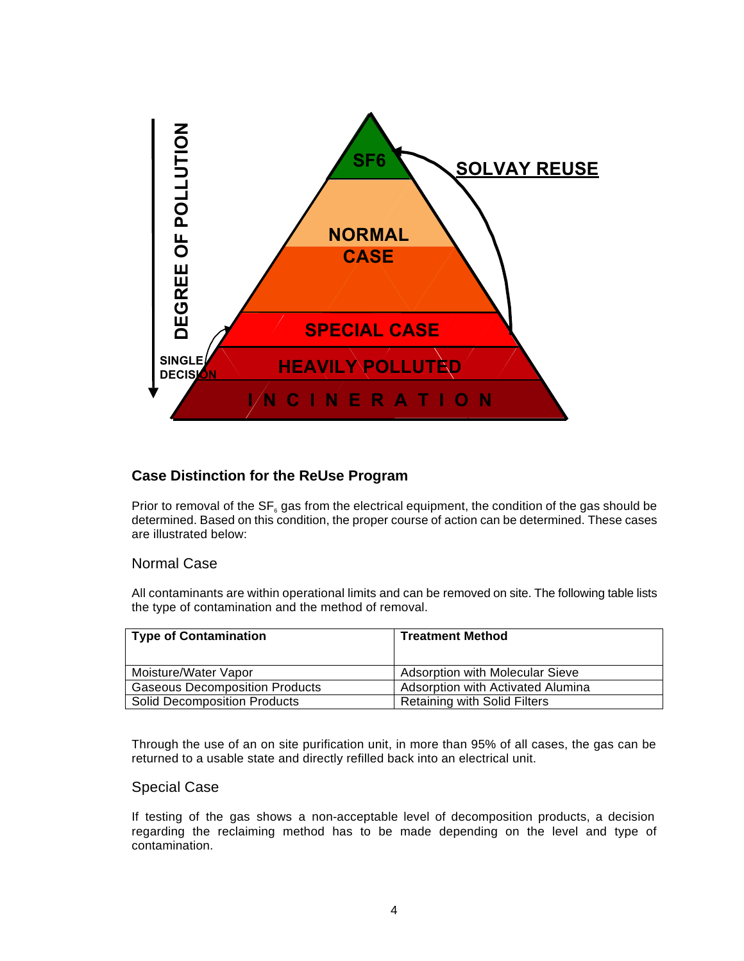

### **Case Distinction for the ReUse Program**

Prior to removal of the SF $_{\circ}$  gas from the electrical equipment, the condition of the gas should be determined. Based on this condition, the proper course of action can be determined. These cases are illustrated below:

#### Normal Case

All contaminants are within operational limits and can be removed on site. The following table lists the type of contamination and the method of removal.

| <b>Type of Contamination</b>          | <b>Treatment Method</b>             |
|---------------------------------------|-------------------------------------|
| Moisture/Water Vapor                  | Adsorption with Molecular Sieve     |
| <b>Gaseous Decomposition Products</b> | Adsorption with Activated Alumina   |
| <b>Solid Decomposition Products</b>   | <b>Retaining with Solid Filters</b> |

Through the use of an on site purification unit, in more than 95% of all cases, the gas can be returned to a usable state and directly refilled back into an electrical unit.

#### Special Case

If testing of the gas shows a non-acceptable level of decomposition products, a decision regarding the reclaiming method has to be made depending on the level and type of contamination.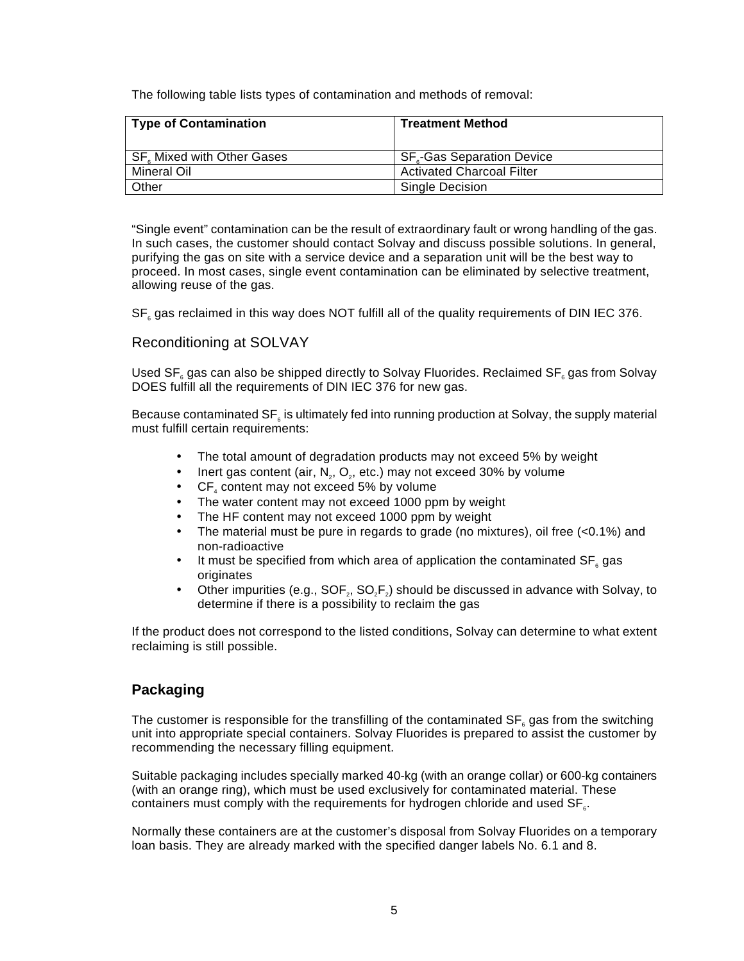The following table lists types of contamination and methods of removal:

| <b>Type of Contamination</b> | <b>Treatment Method</b>          |
|------------------------------|----------------------------------|
| SF. Mixed with Other Gases   | <b>SF.-Gas Separation Device</b> |
| Mineral Oil                  | <b>Activated Charcoal Filter</b> |
| Other                        | Single Decision                  |

"Single event" contamination can be the result of extraordinary fault or wrong handling of the gas. In such cases, the customer should contact Solvay and discuss possible solutions. In general, purifying the gas on site with a service device and a separation unit will be the best way to proceed. In most cases, single event contamination can be eliminated by selective treatment, allowing reuse of the gas.

 $SF_{\epsilon}$  gas reclaimed in this way does NOT fulfill all of the quality requirements of DIN IEC 376.

### Reconditioning at SOLVAY

Used SF $_{\circ}$  gas can also be shipped directly to Solvay Fluorides. Reclaimed SF $_{\circ}$  gas from Solvay DOES fulfill all the requirements of DIN IEC 376 for new gas.

Because contaminated SF $_{\scriptscriptstyle{6}}$  is ultimately fed into running production at Solvay, the supply material must fulfill certain requirements:

- The total amount of degradation products may not exceed 5% by weight
- Inert gas content (air,  $N_z$ ,  $O_z$ , etc.) may not exceed 30% by volume
- $CF_4$  content may not exceed 5% by volume
- The water content may not exceed 1000 ppm by weight
- The HF content may not exceed 1000 ppm by weight
- The material must be pure in regards to grade (no mixtures), oil free  $( $0.1\%$ )$  and non-radioactive
- It must be specified from which area of application the contaminated  $SF_{6}$  gas originates
- Other impurities (e.g.,  $SOF<sub>2</sub>, SO<sub>2</sub>F<sub>2</sub>$ ) should be discussed in advance with Solvay, to determine if there is a possibility to reclaim the gas

If the product does not correspond to the listed conditions, Solvay can determine to what extent reclaiming is still possible.

### **Packaging**

The customer is responsible for the transfilling of the contaminated SF $_{\circ}$  gas from the switching unit into appropriate special containers. Solvay Fluorides is prepared to assist the customer by recommending the necessary filling equipment.

Suitable packaging includes specially marked 40-kg (with an orange collar) or 600-kg containers (with an orange ring), which must be used exclusively for contaminated material. These containers must comply with the requirements for hydrogen chloride and used  $\text{SF}_{_{6}}$ .

Normally these containers are at the customer's disposal from Solvay Fluorides on a temporary loan basis. They are already marked with the specified danger labels No. 6.1 and 8.